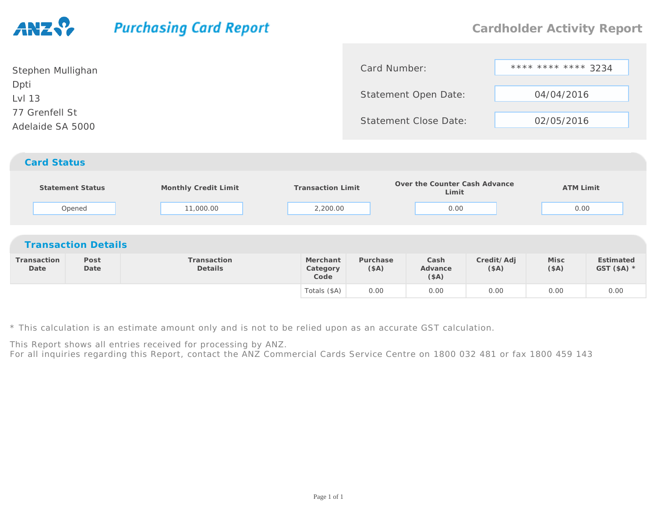## **Purchasing Card Report**

| Stephen Mullighan                  | Card Number:                 | **** **** **** 3234 |
|------------------------------------|------------------------------|---------------------|
| Dpti<br>Lvl 13                     | Statement Open Date:         | 04/04/2016          |
| 77 Grenfell St<br>Adelaide SA 5000 | <b>Statement Close Date:</b> | 02/05/2016          |
| <b>Card Status</b>                 |                              |                     |

|                     | Statement Status<br>Opened | Monthly Credit Limit<br>11,000.00 | <b>Transaction Limit</b><br>2,200.00 |                  | Over the Counter Cash Advance<br>Limit<br>0.00 |                    | <b>ATM Limit</b><br>0.00 |                           |
|---------------------|----------------------------|-----------------------------------|--------------------------------------|------------------|------------------------------------------------|--------------------|--------------------------|---------------------------|
|                     | <b>Transaction Details</b> |                                   |                                      |                  |                                                |                    |                          |                           |
| Transaction<br>Date | Post<br>Date               | Transaction<br>Details            | Merchant<br>Category<br>Code         | Purchase<br>(SA) | Cash<br>Advance<br>(SA)                        | Credit/Adj<br>(SA) | Misc<br>(SA)             | Estimated<br>GST $(SA)$ * |
|                     |                            |                                   | Totals (\$A)                         | 0.00             | 0.00                                           | 0.00               | 0.00                     | 0.00                      |

\* This calculation is an estimate amount only and is not to be relied upon as an accurate GST calculation.

This Report shows all entries received for processing by ANZ.

For all inquiries regarding this Report, contact the ANZ Commercial Cards Service Centre on 1800 032 481 or fax 1800 459 143